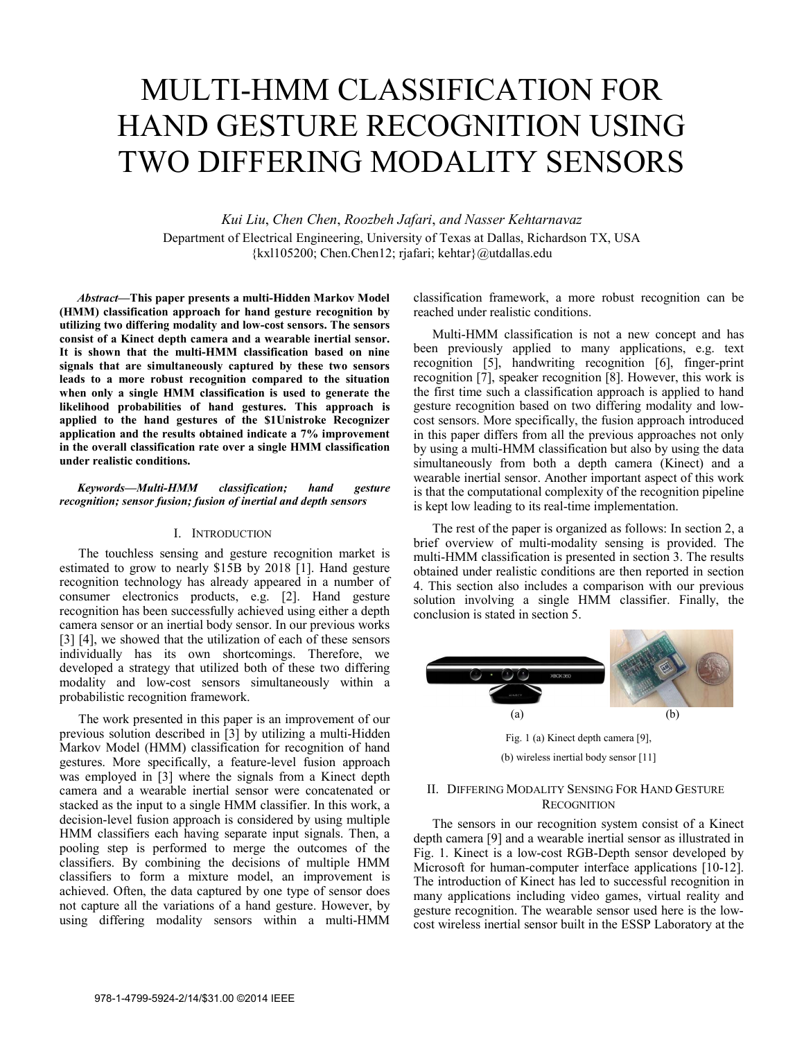# MULTI-HMM CLASSIFICATION FOR HAND GESTURE RECOGNITION USING TWO DIFFERING MODALITY SENSORS

*Kui Liu*, *Chen Chen*, *Roozbeh Jafari*, *and Nasser Kehtarnavaz* Department of Electrical Engineering, University of Texas at Dallas, Richardson TX, USA {kxl105200; Chen.Chen12; rjafari; kehtar}@utdallas.edu

*Abstract***—This paper presents a multi-Hidden Markov Model (HMM) classification approach for hand gesture recognition by utilizing two differing modality and low-cost sensors. The sensors consist of a Kinect depth camera and a wearable inertial sensor. It is shown that the multi-HMM classification based on nine signals that are simultaneously captured by these two sensors leads to a more robust recognition compared to the situation when only a single HMM classification is used to generate the likelihood probabilities of hand gestures. This approach is applied to the hand gestures of the \$1Unistroke Recognizer application and the results obtained indicate a 7% improvement in the overall classification rate over a single HMM classification under realistic conditions.** 

# *Keywords—Multi-HMM classification; hand gesture recognition; sensor fusion; fusion of inertial and depth sensors*

### I. INTRODUCTION

The touchless sensing and gesture recognition market is estimated to grow to nearly \$15B by 2018 [1]. Hand gesture recognition technology has already appeared in a number of consumer electronics products, e.g. [2]. Hand gesture recognition has been successfully achieved using either a depth camera sensor or an inertial body sensor. In our previous works [3] [4], we showed that the utilization of each of these sensors individually has its own shortcomings. Therefore, we developed a strategy that utilized both of these two differing modality and low-cost sensors simultaneously within a probabilistic recognition framework.

The work presented in this paper is an improvement of our previous solution described in [3] by utilizing a multi-Hidden Markov Model (HMM) classification for recognition of hand gestures. More specifically, a feature-level fusion approach was employed in [3] where the signals from a Kinect depth camera and a wearable inertial sensor were concatenated or stacked as the input to a single HMM classifier. In this work, a decision-level fusion approach is considered by using multiple HMM classifiers each having separate input signals. Then, a pooling step is performed to merge the outcomes of the classifiers. By combining the decisions of multiple HMM classifiers to form a mixture model, an improvement is achieved. Often, the data captured by one type of sensor does not capture all the variations of a hand gesture. However, by using differing modality sensors within a multi-HMM

classification framework, a more robust recognition can be reached under realistic conditions.

Multi-HMM classification is not a new concept and has been previously applied to many applications, e.g. text recognition [5], handwriting recognition [6], finger-print recognition [7], speaker recognition [8]. However, this work is the first time such a classification approach is applied to hand gesture recognition based on two differing modality and lowcost sensors. More specifically, the fusion approach introduced in this paper differs from all the previous approaches not only by using a multi-HMM classification but also by using the data simultaneously from both a depth camera (Kinect) and a wearable inertial sensor. Another important aspect of this work is that the computational complexity of the recognition pipeline is kept low leading to its real-time implementation.

The rest of the paper is organized as follows: In section 2, a brief overview of multi-modality sensing is provided. The multi-HMM classification is presented in section 3. The results obtained under realistic conditions are then reported in section 4. This section also includes a comparison with our previous solution involving a single HMM classifier. Finally, the conclusion is stated in section 5.



(b) wireless inertial body sensor [11]

# II. DIFFERING MODALITY SENSING FOR HAND GESTURE **RECOGNITION**

The sensors in our recognition system consist of a Kinect depth camera [9] and a wearable inertial sensor as illustrated in Fig. 1. Kinect is a low-cost RGB-Depth sensor developed by Microsoft for human-computer interface applications [10-12]. The introduction of Kinect has led to successful recognition in many applications including video games, virtual reality and gesture recognition. The wearable sensor used here is the lowcost wireless inertial sensor built in the ESSP Laboratory at the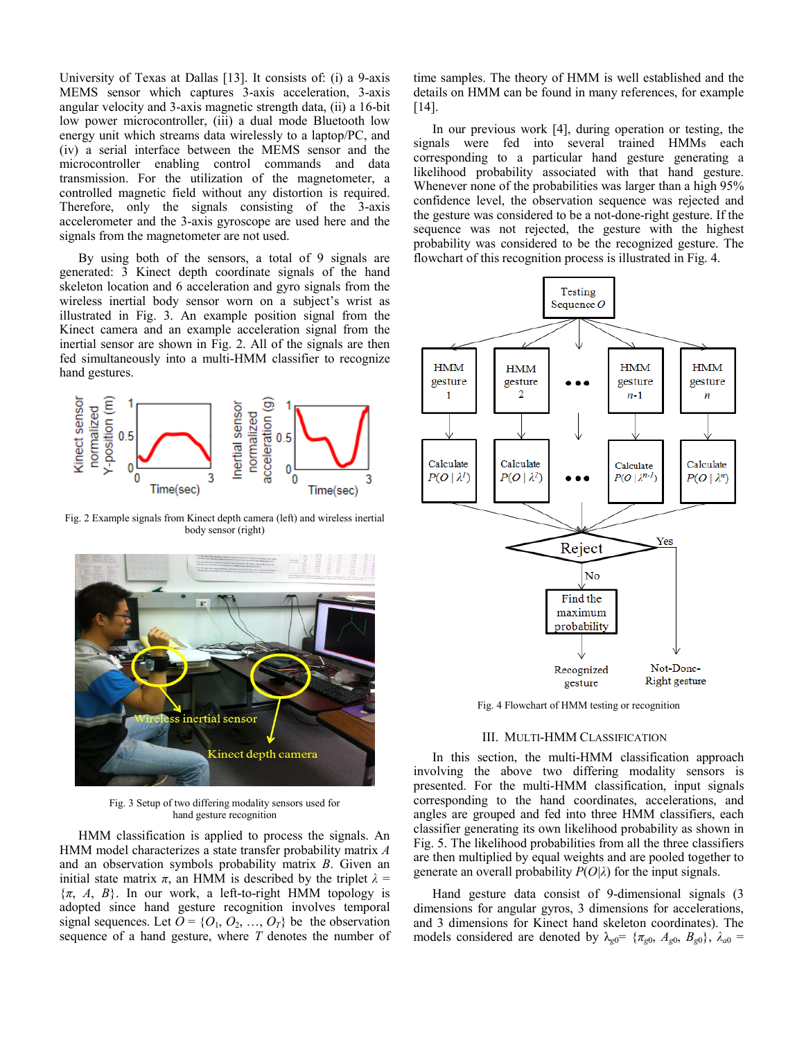University of Texas at Dallas [13]. It consists of: (i) a 9-axis MEMS sensor which captures 3-axis acceleration, 3-axis angular velocity and 3-axis magnetic strength data, (ii) a 16-bit low power microcontroller, (iii) a dual mode Bluetooth low energy unit which streams data wirelessly to a laptop/PC, and (iv) a serial interface between the MEMS sensor and the microcontroller enabling control commands and data transmission. For the utilization of the magnetometer, a controlled magnetic field without any distortion is required. Therefore, only the signals consisting of the 3-axis accelerometer and the 3-axis gyroscope are used here and the signals from the magnetometer are not used.

By using both of the sensors, a total of 9 signals are generated: 3 Kinect depth coordinate signals of the hand skeleton location and 6 acceleration and gyro signals from the wireless inertial body sensor worn on a subject's wrist as illustrated in Fig. 3. An example position signal from the Kinect camera and an example acceleration signal from the inertial sensor are shown in Fig. 2. All of the signals are then fed simultaneously into a multi-HMM classifier to recognize hand gestures.



Fig. 2 Example signals from Kinect depth camera (left) and wireless inertial body sensor (right)



Fig. 3 Setup of two differing modality sensors used for hand gesture recognition

HMM classification is applied to process the signals. An HMM model characterizes a state transfer probability matrix *A* and an observation symbols probability matrix *B*. Given an initial state matrix  $\pi$ , an HMM is described by the triplet  $\lambda$  =  $\{\pi, A, B\}$ . In our work, a left-to-right HMM topology is adopted since hand gesture recognition involves temporal signal sequences. Let  $\overline{O} = \{O_1, O_2, ..., O_T\}$  be the observation sequence of a hand gesture, where *T* denotes the number of time samples. The theory of HMM is well established and the details on HMM can be found in many references, for example [14].

In our previous work [4], during operation or testing, the signals were fed into several trained HMMs each corresponding to a particular hand gesture generating a likelihood probability associated with that hand gesture. Whenever none of the probabilities was larger than a high 95% confidence level, the observation sequence was rejected and the gesture was considered to be a not-done-right gesture. If the sequence was not rejected, the gesture with the highest probability was considered to be the recognized gesture. The flowchart of this recognition process is illustrated in Fig. 4.



Fig. 4 Flowchart of HMM testing or recognition

### III. MULTI-HMM CLASSIFICATION

In this section, the multi-HMM classification approach involving the above two differing modality sensors is presented. For the multi-HMM classification, input signals corresponding to the hand coordinates, accelerations, and angles are grouped and fed into three HMM classifiers, each classifier generating its own likelihood probability as shown in Fig. 5. The likelihood probabilities from all the three classifiers are then multiplied by equal weights and are pooled together to generate an overall probability *P*(*O|λ*) for the input signals.

Hand gesture data consist of 9-dimensional signals (3 dimensions for angular gyros, 3 dimensions for accelerations, and 3 dimensions for Kinect hand skeleton coordinates). The models considered are denoted by  $\lambda_{g0} = {\pi_{g0}, A_{g0}, B_{g0}}$ ,  $\lambda_{a0} =$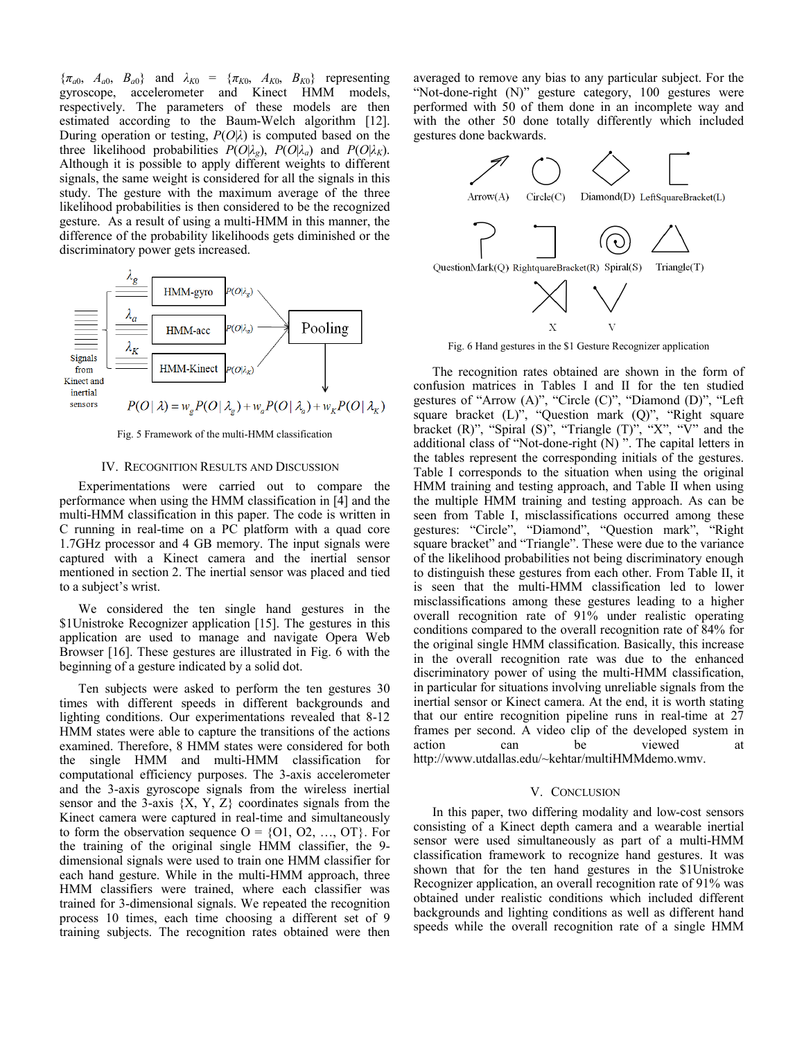${\pi_{a0}, A_{a0}, B_{a0}}$  and  $\lambda_{K0} = {\pi_{K0}, A_{K0}, B_{K0}}$  representing gyroscope, accelerometer and Kinect HMM models, respectively. The parameters of these models are then estimated according to the Baum-Welch algorithm [12]. During operation or testing, *P*(*O*|*λ*) is computed based on the three likelihood probabilities  $P(O|\lambda_g)$ ,  $P(O|\lambda_g)$  and  $P(O|\lambda_K)$ . Although it is possible to apply different weights to different signals, the same weight is considered for all the signals in this study. The gesture with the maximum average of the three likelihood probabilities is then considered to be the recognized gesture. As a result of using a multi-HMM in this manner, the difference of the probability likelihoods gets diminished or the discriminatory power gets increased.



Fig. 5 Framework of the multi-HMM classification

# IV. RECOGNITION RESULTS AND DISCUSSION

Experimentations were carried out to compare the performance when using the HMM classification in [4] and the multi-HMM classification in this paper. The code is written in C running in real-time on a PC platform with a quad core 1.7GHz processor and 4 GB memory. The input signals were captured with a Kinect camera and the inertial sensor mentioned in section 2. The inertial sensor was placed and tied to a subject's wrist.

We considered the ten single hand gestures in the \$1Unistroke Recognizer application [15]. The gestures in this application are used to manage and navigate Opera Web Browser [16]. These gestures are illustrated in Fig. 6 with the beginning of a gesture indicated by a solid dot.

Ten subjects were asked to perform the ten gestures 30 times with different speeds in different backgrounds and lighting conditions. Our experimentations revealed that 8-12 HMM states were able to capture the transitions of the actions examined. Therefore, 8 HMM states were considered for both the single HMM and multi-HMM classification for computational efficiency purposes. The 3-axis accelerometer and the 3-axis gyroscope signals from the wireless inertial sensor and the 3-axis  ${X, Y, Z}$  coordinates signals from the Kinect camera were captured in real-time and simultaneously to form the observation sequence  $O = \{O1, O2, ..., OT\}$ . For the training of the original single HMM classifier, the 9 dimensional signals were used to train one HMM classifier for each hand gesture. While in the multi-HMM approach, three HMM classifiers were trained, where each classifier was trained for 3-dimensional signals. We repeated the recognition process 10 times, each time choosing a different set of 9 training subjects. The recognition rates obtained were then

averaged to remove any bias to any particular subject. For the "Not-done-right (N)" gesture category, 100 gestures were performed with 50 of them done in an incomplete way and with the other 50 done totally differently which included gestures done backwards.



Fig. 6 Hand gestures in the \$1 Gesture Recognizer application

The recognition rates obtained are shown in the form of confusion matrices in Tables I and II for the ten studied gestures of "Arrow (A)", "Circle (C)", "Diamond (D)", "Left square bracket  $(L)$ ", "Question mark  $(Q)$ ", "Right square bracket (R)", "Spiral (S)", "Triangle  $(T)$ ", "X", "V" and the additional class of "Not-done-right  $(N)$ ". The capital letters in the tables represent the corresponding initials of the gestures. Table I corresponds to the situation when using the original HMM training and testing approach, and Table II when using the multiple HMM training and testing approach. As can be seen from Table I, misclassifications occurred among these gestures: "Circle", "Diamond", "Question mark", "Right square bracket" and "Triangle". These were due to the variance of the likelihood probabilities not being discriminatory enough to distinguish these gestures from each other. From Table II, it is seen that the multi-HMM classification led to lower misclassifications among these gestures leading to a higher overall recognition rate of 91% under realistic operating conditions compared to the overall recognition rate of 84% for the original single HMM classification. Basically, this increase in the overall recognition rate was due to the enhanced discriminatory power of using the multi-HMM classification, in particular for situations involving unreliable signals from the inertial sensor or Kinect camera. At the end, it is worth stating that our entire recognition pipeline runs in real-time at 27 frames per second. A video clip of the developed system in action can be viewed at http://www.utdallas.edu/~kehtar/multiHMMdemo.wmv.

#### V. CONCLUSION

In this paper, two differing modality and low-cost sensors consisting of a Kinect depth camera and a wearable inertial sensor were used simultaneously as part of a multi-HMM classification framework to recognize hand gestures. It was shown that for the ten hand gestures in the \$1Unistroke Recognizer application, an overall recognition rate of 91% was obtained under realistic conditions which included different backgrounds and lighting conditions as well as different hand speeds while the overall recognition rate of a single HMM